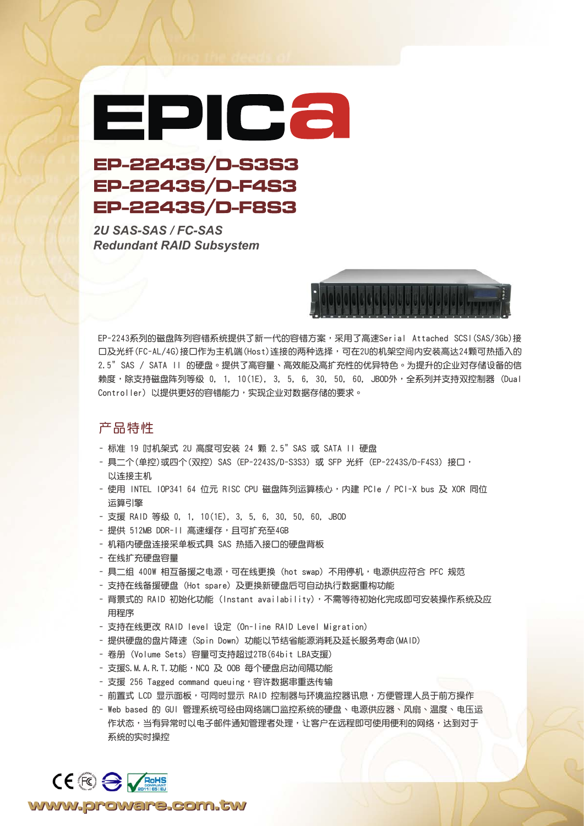## EPICa

## EP-2243S/D-S3S3 EP-2243S/D-F4S3 EP-2243S/D-F8S3

*2U SAS-SAS / FC-SAS Redundant RAID Subsystem*



EP-2243系列的磁盘阵列容错系统提供了新一代的容错方案,采用了高速Serial Attached SCSI(SAS/3Gb)接 口及光纤(FC-AL/4G)接口作为主机端(Host)连接的两种选择,可在2U的机架空间内安装高达24颗可热插入的 2.5" SAS / SATA II 的硬盘。提供了高容量、高效能及高扩充性的优异特色。为提升的企业对存储设备的信 赖度,除支持磁盘阵列等级 0, 1, 10(1E), 3, 5, 6, 30, 50, 60, JBOD外,全系列并支持双控制器(Dual Controller)以提供更好的容错能力,实现企业对数据存储的要求。

## 產品特性

- 標準 19 吋機架式 2U 高度可安裝 24 顆 2.5" SAS 或 SATA II 硬盤
- 具二个(单控)或四个(双控) SAS (EP-2243S/D-S3S3) 或 SFP 光纤 (EP-2243S/D-F4S3) 接口, 以連接主機
- 使用 INTEL IOP341 64 位元 RISC CPU 磁盘阵列运算核心,内建 PCIe / PCI-X bus 及 XOR 同位 運算引擎
- 支援 RAID 等級 0, 1, 10(1E), 3, 5, 6, 30, 50, 60, JBOD
- 提供 512MB DDR-II 高速缓存,且可扩充至4GB
- 機箱內硬盤連接採單板式具 SAS 熱插入接口的硬盤背板
- 在线扩充硬盘容量

CE FO SVENTS

www.proware.com.tw

- 具二组 400W 相互备援之电源,可在线更换(hot swap)不用停机,电源供应符合 PFC 规范
- 支持在线备援硬盘 (Hot spare) 及更换新硬盘后可自动执行数据重构功能
- 背景式的 RAID 初始化功能 (Instant availability), 不需等待初始化完成即可安装操作系统及应 用程序
- 支持在線更改 RAID level 設定 (On-line RAID Level Migration)
- 提供硬盤的盤片降速 (Spin Down) 功能以節結省能源消耗及延長服務壽命(MAID)
- 卷冊 (Volume Sets) 容量可支持超過2TB(64bit LBA支援)
- 支援S.M.A.R.T.功能,NCQ 及 00B 每个硬盘启动间隔功能
- 支援 256 Tagged command queuing,容许数据串重迭传输
- 前置式 LCD 显示面板,可同时显示 RAID 控制器与环境监控器讯息,方便管理人员于前方操作
- Web based 的 GUI 管理系統可經由網絡端口監控系統的硬盤、電源供應器、風扇、溫度、電壓運 作状态,当有异常时以电子邮件通知管理者处理,让客户在远程即可使用便利的网络,达到对于 系统的实时操控